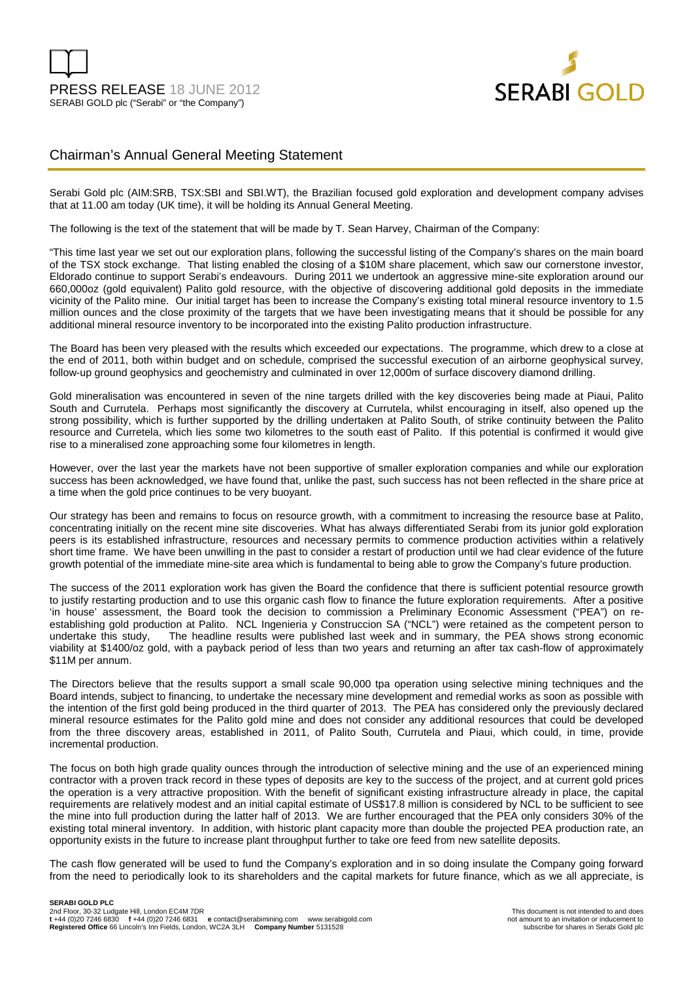

# Chairman's Annual General Meeting Statement

Serabi Gold plc (AIM:SRB, TSX:SBI and SBI.WT), the Brazilian focused gold exploration and development company advises that at 11.00 am today (UK time), it will be holding its Annual General Meeting.

The following is the text of the statement that will be made by T. Sean Harvey, Chairman of the Company:

"This time last year we set out our exploration plans, following the successful listing of the Company's shares on the main board of the TSX stock exchange. That listing enabled the closing of a \$10M share placement, which saw our cornerstone investor, Eldorado continue to support Serabi's endeavours. During 2011 we undertook an aggressive mine-site exploration around our 660,000oz (gold equivalent) Palito gold resource, with the objective of discovering additional gold deposits in the immediate vicinity of the Palito mine. Our initial target has been to increase the Company's existing total mineral resource inventory to 1.5 million ounces and the close proximity of the targets that we have been investigating means that it should be possible for any additional mineral resource inventory to be incorporated into the existing Palito production infrastructure.

The Board has been very pleased with the results which exceeded our expectations. The programme, which drew to a close at the end of 2011, both within budget and on schedule, comprised the successful execution of an airborne geophysical survey, follow-up ground geophysics and geochemistry and culminated in over 12,000m of surface discovery diamond drilling.

Gold mineralisation was encountered in seven of the nine targets drilled with the key discoveries being made at Piaui, Palito South and Currutela. Perhaps most significantly the discovery at Currutela, whilst encouraging in itself, also opened up the strong possibility, which is further supported by the drilling undertaken at Palito South, of strike continuity between the Palito resource and Curretela, which lies some two kilometres to the south east of Palito. If this potential is confirmed it would give rise to a mineralised zone approaching some four kilometres in length.

However, over the last year the markets have not been supportive of smaller exploration companies and while our exploration success has been acknowledged, we have found that, unlike the past, such success has not been reflected in the share price at a time when the gold price continues to be very buoyant.

Our strategy has been and remains to focus on resource growth, with a commitment to increasing the resource base at Palito, concentrating initially on the recent mine site discoveries. What has always differentiated Serabi from its junior gold exploration peers is its established infrastructure, resources and necessary permits to commence production activities within a relatively short time frame. We have been unwilling in the past to consider a restart of production until we had clear evidence of the future growth potential of the immediate mine-site area which is fundamental to being able to grow the Company's future production.

The success of the 2011 exploration work has given the Board the confidence that there is sufficient potential resource growth to justify restarting production and to use this organic cash flow to finance the future exploration requirements. After a positive 'in house' assessment, the Board took the decision to commission a Preliminary Economic Assessment ("PEA") on reestablishing gold production at Palito. NCL Ingenieria y Construccion SA ("NCL") were retained as the competent person to undertake this study, The headline results were published last week and in summary, the PEA shows strong economic viability at \$1400/oz gold, with a payback period of less than two years and returning an after tax cash-flow of approximately \$11M per annum.

The Directors believe that the results support a small scale 90,000 tpa operation using selective mining techniques and the Board intends, subject to financing, to undertake the necessary mine development and remedial works as soon as possible with the intention of the first gold being produced in the third quarter of 2013. The PEA has considered only the previously declared mineral resource estimates for the Palito gold mine and does not consider any additional resources that could be developed from the three discovery areas, established in 2011, of Palito South, Currutela and Piaui, which could, in time, provide incremental production.

The focus on both high grade quality ounces through the introduction of selective mining and the use of an experienced mining contractor with a proven track record in these types of deposits are key to the success of the project, and at current gold prices the operation is a very attractive proposition. With the benefit of significant existing infrastructure already in place, the capital requirements are relatively modest and an initial capital estimate of US\$17.8 million is considered by NCL to be sufficient to see the mine into full production during the latter half of 2013. We are further encouraged that the PEA only considers 30% of the existing total mineral inventory. In addition, with historic plant capacity more than double the projected PEA production rate, an opportunity exists in the future to increase plant throughput further to take ore feed from new satellite deposits.

The cash flow generated will be used to fund the Company's exploration and in so doing insulate the Company going forward from the need to periodically look to its shareholders and the capital markets for future finance, which as we all appreciate, is